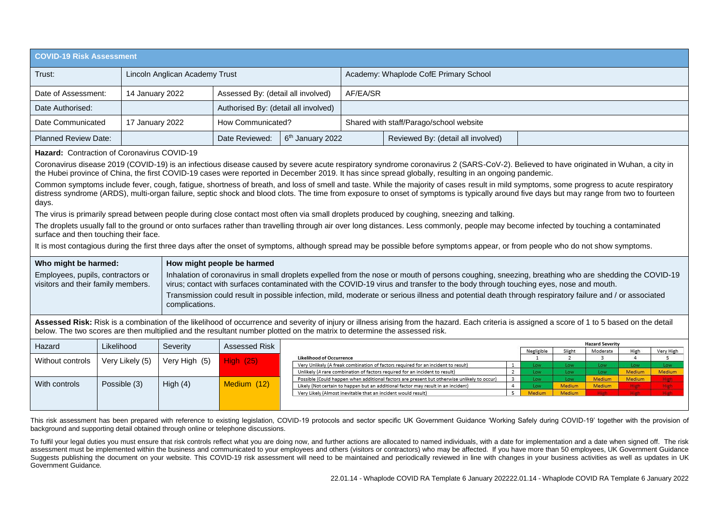| <b>COVID-19 Risk Assessment</b> |                                |                                      |                              |                                         |                                    |  |
|---------------------------------|--------------------------------|--------------------------------------|------------------------------|-----------------------------------------|------------------------------------|--|
| Trust:                          | Lincoln Anglican Academy Trust |                                      |                              | Academy: Whaplode CofE Primary School   |                                    |  |
| Date of Assessment:             | 14 January 2022                | Assessed By: (detail all involved)   |                              | AF/EA/SR                                |                                    |  |
| Date Authorised:                |                                | Authorised By: (detail all involved) |                              |                                         |                                    |  |
| Date Communicated               | 17 January 2022                | How Communicated?                    |                              | Shared with staff/Parago/school website |                                    |  |
| Planned Review Date:            |                                | Date Reviewed:                       | 6 <sup>th</sup> January 2022 |                                         | Reviewed By: (detail all involved) |  |

## **Hazard:** Contraction of Coronavirus COVID-19

Coronavirus disease 2019 (COVID-19) is an infectious disease caused by severe acute respiratory syndrome coronavirus 2 (SARS-CoV-2). Believed to have originated in Wuhan, a city in the Hubei province of China, the first COVID-19 cases were reported in December 2019. It has since spread globally, resulting in an ongoing pandemic.

Common symptoms include fever, cough, fatigue, shortness of breath, and loss of smell and taste. While the majority of cases result in mild symptoms, some progress to acute respiratory distress syndrome (ARDS), multi-organ failure, septic shock and blood clots. The time from exposure to onset of symptoms is typically around five days but may range from two to fourteen days.

The virus is primarily spread between people during close contact most often via small droplets produced by coughing, sneezing and talking.

The droplets usually fall to the ground or onto surfaces rather than travelling through air over long distances. Less commonly, people may become infected by touching a contaminated surface and then touching their face.

It is most contagious during the first three days after the onset of symptoms, although spread may be possible before symptoms appear, or from people who do not show symptoms.

| Who might be harmed:                                                    | How might people be harmed                                                                                                                                                                                                                                                              |
|-------------------------------------------------------------------------|-----------------------------------------------------------------------------------------------------------------------------------------------------------------------------------------------------------------------------------------------------------------------------------------|
| Employees, pupils, contractors or<br>visitors and their family members. | Inhalation of coronavirus in small droplets expelled from the nose or mouth of persons coughing, sneezing, breathing who are shedding the COVID-19<br>virus; contact with surfaces contaminated with the COVID-19 virus and transfer to the body through touching eyes, nose and mouth. |
|                                                                         | Transmission could result in possible infection, mild, moderate or serious illness and potential death through respiratory failure and / or associated<br>complications.                                                                                                                |

Assessed Risk: Risk is a combination of the likelihood of occurrence and severity of injury or illness arising from the hazard. Each criteria is assigned a score of 1 to 5 based on the detail below. The two scores are then multiplied and the resultant number plotted on the matrix to determine the assessed risk.

| Hazard           | Likelihood      | Severity      | Assessed Risk    |                                                                                             |            |        | <b>Hazard Severity</b> |               |           |
|------------------|-----------------|---------------|------------------|---------------------------------------------------------------------------------------------|------------|--------|------------------------|---------------|-----------|
|                  |                 |               |                  |                                                                                             | Negligible | Slight | Moderate               | High          | Very High |
| Without controls | Very Likely (5) | Very High (5) | <b>ligh</b> (25) | <b>Likelihood of Occurrence</b>                                                             |            |        |                        |               |           |
|                  |                 |               |                  | Very Unlikely (A freak combination of factors required for an incident to result)           | Low        | Low    | Low                    | Low           |           |
|                  |                 |               |                  | Unlikely (A rare combination of factors required for an incident to result)                 | Low        | Low    | Low.                   | Medium        | Medium    |
|                  |                 |               |                  | Possible (Could happen when additional factors are present but otherwise unlikely to occur) | Low        | LOW    | Medium                 | <b>Medium</b> |           |
| With controls    | Possible (3)    | High (4)      | Medium (12)      | Likely (Not certain to happen but an additional factor may result in an incident)           | Low        | Medium | Medium                 |               |           |
|                  |                 |               |                  | Very Likely (Almost inevitable that an incident would result)                               | Medium     | Medium |                        |               |           |
|                  |                 |               |                  |                                                                                             |            |        |                        |               |           |
|                  |                 |               |                  |                                                                                             |            |        |                        |               |           |

This risk assessment has been prepared with reference to existing legislation, COVID-19 protocols and sector specific UK Government Guidance 'Working Safely during COVID-19' together with the provision of background and supporting detail obtained through online or telephone discussions.

To fulfil your legal duties you must ensure that risk controls reflect what you are doing now, and further actions are allocated to named individuals, with a date for implementation and a date when signed off. The risk assessment must be implemented within the business and communicated to your employees and others (visitors or contractors) who may be affected. If you have more than 50 employees, UK Government Guidance Suggests publishing the document on your website. This COVID-19 risk assessment will need to be maintained and periodically reviewed in line with changes in your business activities as well as updates in UK Government Guidance.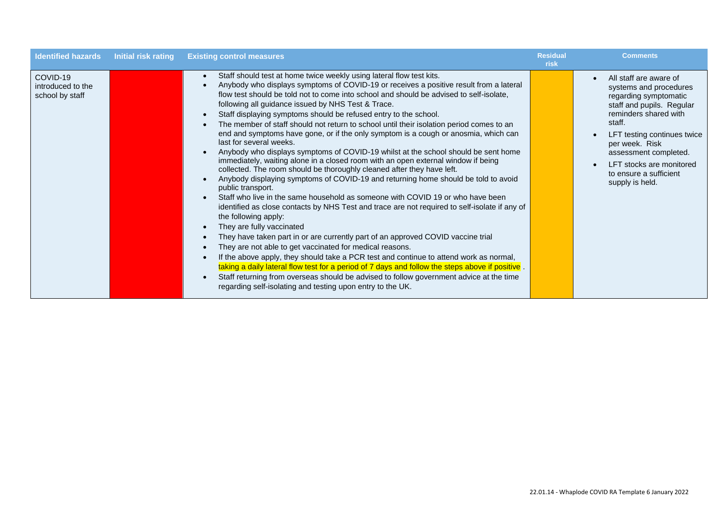| <b>Identified hazards</b>                        | <b>Initial risk rating</b> | <b>Existing control measures</b>                                                                                                                                                                                                                                                                                                                                                                                                                                                                                                                                                                                                                                                                                                                                                                                                                                                                                                                                                                                                                                                                                                                                                                                                                                                                                                                                                                                                                                                                                                                                                                                                                                                                                | <b>Residual</b><br>risk | <b>Comments</b>                                                                                                                                                                                                                                                                                           |
|--------------------------------------------------|----------------------------|-----------------------------------------------------------------------------------------------------------------------------------------------------------------------------------------------------------------------------------------------------------------------------------------------------------------------------------------------------------------------------------------------------------------------------------------------------------------------------------------------------------------------------------------------------------------------------------------------------------------------------------------------------------------------------------------------------------------------------------------------------------------------------------------------------------------------------------------------------------------------------------------------------------------------------------------------------------------------------------------------------------------------------------------------------------------------------------------------------------------------------------------------------------------------------------------------------------------------------------------------------------------------------------------------------------------------------------------------------------------------------------------------------------------------------------------------------------------------------------------------------------------------------------------------------------------------------------------------------------------------------------------------------------------------------------------------------------------|-------------------------|-----------------------------------------------------------------------------------------------------------------------------------------------------------------------------------------------------------------------------------------------------------------------------------------------------------|
| COVID-19<br>introduced to the<br>school by staff |                            | Staff should test at home twice weekly using lateral flow test kits.<br>Anybody who displays symptoms of COVID-19 or receives a positive result from a lateral<br>flow test should be told not to come into school and should be advised to self-isolate,<br>following all guidance issued by NHS Test & Trace.<br>Staff displaying symptoms should be refused entry to the school.<br>The member of staff should not return to school until their isolation period comes to an<br>end and symptoms have gone, or if the only symptom is a cough or anosmia, which can<br>last for several weeks.<br>Anybody who displays symptoms of COVID-19 whilst at the school should be sent home<br>immediately, waiting alone in a closed room with an open external window if being<br>collected. The room should be thoroughly cleaned after they have left.<br>Anybody displaying symptoms of COVID-19 and returning home should be told to avoid<br>public transport.<br>Staff who live in the same household as someone with COVID 19 or who have been<br>identified as close contacts by NHS Test and trace are not required to self-isolate if any of<br>the following apply:<br>They are fully vaccinated<br>They have taken part in or are currently part of an approved COVID vaccine trial<br>They are not able to get vaccinated for medical reasons.<br>If the above apply, they should take a PCR test and continue to attend work as normal,<br>taking a daily lateral flow test for a period of 7 days and follow the steps above if positive.<br>Staff returning from overseas should be advised to follow government advice at the time<br>regarding self-isolating and testing upon entry to the UK. |                         | All staff are aware of<br>$\bullet$<br>systems and procedures<br>regarding symptomatic<br>staff and pupils. Regular<br>reminders shared with<br>staff.<br>LFT testing continues twice<br>per week. Risk<br>assessment completed.<br>LFT stocks are monitored<br>to ensure a sufficient<br>supply is held. |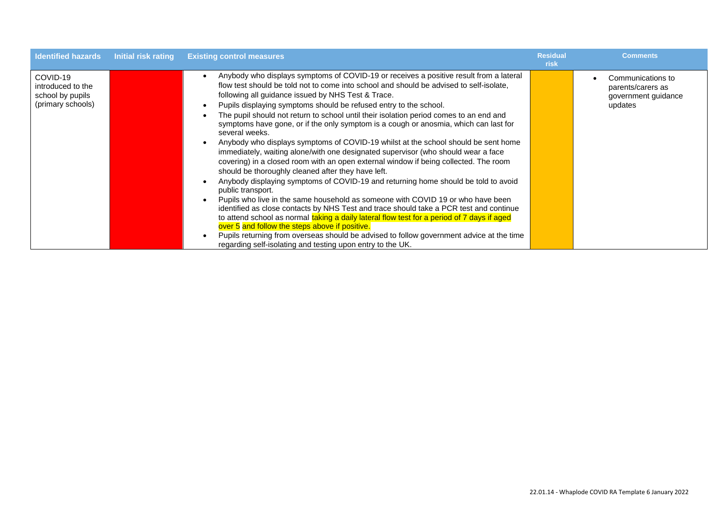| <b>Identified hazards</b>                                              | Initial risk rating | <b>Existing control measures</b>                                                                                                                                                                                                                                                                                                                                                                                                                                                                                                                                                                                                                                                                                                                                                                                                                                                                                                                                                                                                                                                                                                                                                                                                                                                                                                                                                                                                            | <b>Residual</b><br>risk | <b>Comments</b>                                                          |
|------------------------------------------------------------------------|---------------------|---------------------------------------------------------------------------------------------------------------------------------------------------------------------------------------------------------------------------------------------------------------------------------------------------------------------------------------------------------------------------------------------------------------------------------------------------------------------------------------------------------------------------------------------------------------------------------------------------------------------------------------------------------------------------------------------------------------------------------------------------------------------------------------------------------------------------------------------------------------------------------------------------------------------------------------------------------------------------------------------------------------------------------------------------------------------------------------------------------------------------------------------------------------------------------------------------------------------------------------------------------------------------------------------------------------------------------------------------------------------------------------------------------------------------------------------|-------------------------|--------------------------------------------------------------------------|
| COVID-19<br>introduced to the<br>school by pupils<br>(primary schools) |                     | Anybody who displays symptoms of COVID-19 or receives a positive result from a lateral<br>flow test should be told not to come into school and should be advised to self-isolate.<br>following all guidance issued by NHS Test & Trace.<br>Pupils displaying symptoms should be refused entry to the school.<br>The pupil should not return to school until their isolation period comes to an end and<br>symptoms have gone, or if the only symptom is a cough or anosmia, which can last for<br>several weeks.<br>Anybody who displays symptoms of COVID-19 whilst at the school should be sent home<br>immediately, waiting alone/with one designated supervisor (who should wear a face<br>covering) in a closed room with an open external window if being collected. The room<br>should be thoroughly cleaned after they have left.<br>Anybody displaying symptoms of COVID-19 and returning home should be told to avoid<br>public transport.<br>Pupils who live in the same household as someone with COVID 19 or who have been<br>identified as close contacts by NHS Test and trace should take a PCR test and continue<br>to attend school as normal taking a daily lateral flow test for a period of 7 days if aged<br>over 5 and follow the steps above if positive.<br>Pupils returning from overseas should be advised to follow government advice at the time<br>regarding self-isolating and testing upon entry to the UK. |                         | Communications to<br>parents/carers as<br>government guidance<br>updates |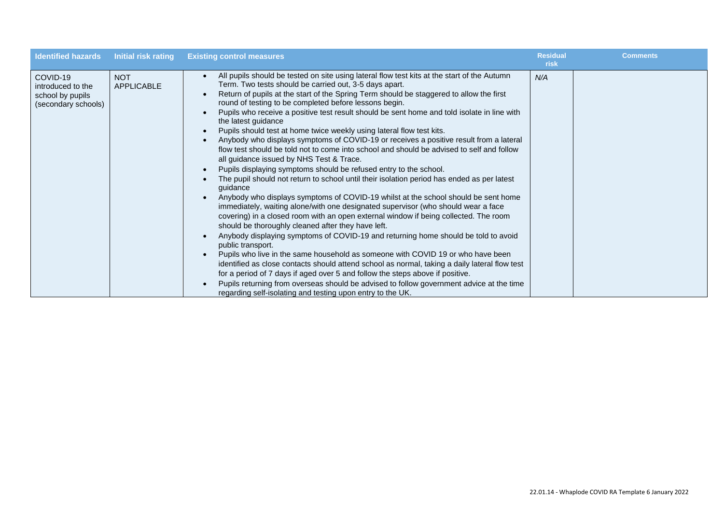| <b>Identified hazards</b>                                                | Initial risk rating             | <b>Existing control measures</b>                                                                                                                                                                                                                                                                                                                                                                                                                                                                                                                                                                                                                                                                                                                                                                                                                                                                                                                                                                                                                                                                                                                                                                                                                                                                                                                                                                                                                                                                                                                                                                                                                                                                                                                                                               | <b>Residual</b><br>risk | <b>Comments</b> |
|--------------------------------------------------------------------------|---------------------------------|------------------------------------------------------------------------------------------------------------------------------------------------------------------------------------------------------------------------------------------------------------------------------------------------------------------------------------------------------------------------------------------------------------------------------------------------------------------------------------------------------------------------------------------------------------------------------------------------------------------------------------------------------------------------------------------------------------------------------------------------------------------------------------------------------------------------------------------------------------------------------------------------------------------------------------------------------------------------------------------------------------------------------------------------------------------------------------------------------------------------------------------------------------------------------------------------------------------------------------------------------------------------------------------------------------------------------------------------------------------------------------------------------------------------------------------------------------------------------------------------------------------------------------------------------------------------------------------------------------------------------------------------------------------------------------------------------------------------------------------------------------------------------------------------|-------------------------|-----------------|
| COVID-19<br>introduced to the<br>school by pupils<br>(secondary schools) | <b>NOT</b><br><b>APPLICABLE</b> | All pupils should be tested on site using lateral flow test kits at the start of the Autumn<br>Term. Two tests should be carried out, 3-5 days apart.<br>Return of pupils at the start of the Spring Term should be staggered to allow the first<br>round of testing to be completed before lessons begin.<br>Pupils who receive a positive test result should be sent home and told isolate in line with<br>the latest guidance<br>Pupils should test at home twice weekly using lateral flow test kits.<br>Anybody who displays symptoms of COVID-19 or receives a positive result from a lateral<br>flow test should be told not to come into school and should be advised to self and follow<br>all guidance issued by NHS Test & Trace.<br>Pupils displaying symptoms should be refused entry to the school.<br>The pupil should not return to school until their isolation period has ended as per latest<br>guidance<br>Anybody who displays symptoms of COVID-19 whilst at the school should be sent home<br>immediately, waiting alone/with one designated supervisor (who should wear a face<br>covering) in a closed room with an open external window if being collected. The room<br>should be thoroughly cleaned after they have left.<br>Anybody displaying symptoms of COVID-19 and returning home should be told to avoid<br>public transport.<br>Pupils who live in the same household as someone with COVID 19 or who have been<br>identified as close contacts should attend school as normal, taking a daily lateral flow test<br>for a period of 7 days if aged over 5 and follow the steps above if positive.<br>Pupils returning from overseas should be advised to follow government advice at the time<br>regarding self-isolating and testing upon entry to the UK. | N/A                     |                 |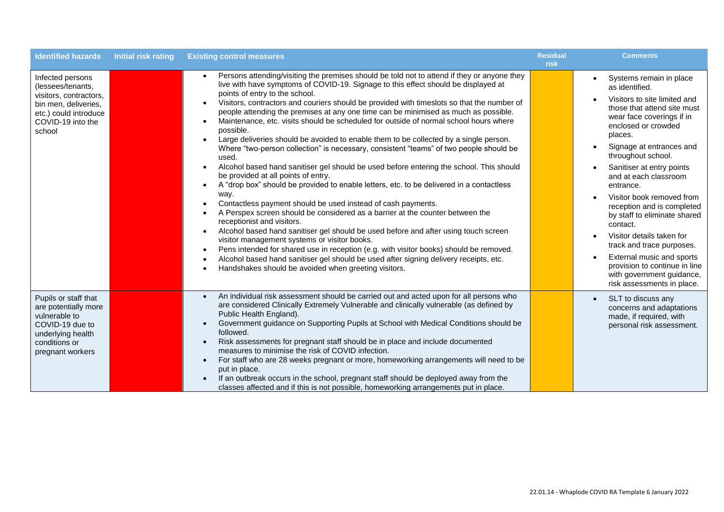| <b>Identified hazards</b>                                                                                                                       | <b>Initial risk rating</b> | <b>Existing control measures</b>                                                                                                                                                                                                                                                                                                                                                                                                                                                                                                                                                                                                                                                                                                                                                                                                                                                                                                                                                                                                                                                                                                                                                                                                                                                                                                                                                                                                                                                                                                                                                                | <b>Residual</b><br>risk | <b>Comments</b>                                                                                                                                                                                                                                                                                                                                                                                                                                                                                                                                                                        |
|-------------------------------------------------------------------------------------------------------------------------------------------------|----------------------------|-------------------------------------------------------------------------------------------------------------------------------------------------------------------------------------------------------------------------------------------------------------------------------------------------------------------------------------------------------------------------------------------------------------------------------------------------------------------------------------------------------------------------------------------------------------------------------------------------------------------------------------------------------------------------------------------------------------------------------------------------------------------------------------------------------------------------------------------------------------------------------------------------------------------------------------------------------------------------------------------------------------------------------------------------------------------------------------------------------------------------------------------------------------------------------------------------------------------------------------------------------------------------------------------------------------------------------------------------------------------------------------------------------------------------------------------------------------------------------------------------------------------------------------------------------------------------------------------------|-------------------------|----------------------------------------------------------------------------------------------------------------------------------------------------------------------------------------------------------------------------------------------------------------------------------------------------------------------------------------------------------------------------------------------------------------------------------------------------------------------------------------------------------------------------------------------------------------------------------------|
| Infected persons<br>(lessees/tenants,<br>visitors, contractors,<br>bin men, deliveries,<br>etc.) could introduce<br>COVID-19 into the<br>school |                            | Persons attending/visiting the premises should be told not to attend if they or anyone they<br>live with have symptoms of COVID-19. Signage to this effect should be displayed at<br>points of entry to the school.<br>Visitors, contractors and couriers should be provided with timeslots so that the number of<br>people attending the premises at any one time can be minimised as much as possible.<br>Maintenance, etc. visits should be scheduled for outside of normal school hours where<br>$\bullet$<br>possible.<br>Large deliveries should be avoided to enable them to be collected by a single person.<br>$\bullet$<br>Where "two-person collection" is necessary, consistent "teams" of two people should be<br>used.<br>Alcohol based hand sanitiser gel should be used before entering the school. This should<br>be provided at all points of entry.<br>A "drop box" should be provided to enable letters, etc. to be delivered in a contactless<br>$\bullet$<br>way.<br>Contactless payment should be used instead of cash payments.<br>$\bullet$<br>A Perspex screen should be considered as a barrier at the counter between the<br>receptionist and visitors.<br>Alcohol based hand sanitiser gel should be used before and after using touch screen<br>$\bullet$<br>visitor management systems or visitor books.<br>Pens intended for shared use in reception (e.g. with visitor books) should be removed.<br>$\bullet$<br>Alcohol based hand sanitiser gel should be used after signing delivery receipts, etc.<br>Handshakes should be avoided when greeting visitors. |                         | Systems remain in place<br>as identified.<br>Visitors to site limited and<br>those that attend site must<br>wear face coverings if in<br>enclosed or crowded<br>places.<br>Signage at entrances and<br>throughout school.<br>Sanitiser at entry points<br>and at each classroom<br>entrance.<br>Visitor book removed from<br>reception and is completed<br>by staff to eliminate shared<br>contact.<br>Visitor details taken for<br>track and trace purposes.<br>External music and sports<br>provision to continue in line<br>with government guidance,<br>risk assessments in place. |
| Pupils or staff that<br>are potentially more<br>vulnerable to<br>COVID-19 due to<br>underlying health<br>conditions or<br>pregnant workers      |                            | An individual risk assessment should be carried out and acted upon for all persons who<br>are considered Clinically Extremely Vulnerable and clinically vulnerable (as defined by<br>Public Health England).<br>Government guidance on Supporting Pupils at School with Medical Conditions should be<br>followed.<br>Risk assessments for pregnant staff should be in place and include documented<br>measures to minimise the risk of COVID infection.<br>For staff who are 28 weeks pregnant or more, homeworking arrangements will need to be<br>put in place.<br>If an outbreak occurs in the school, pregnant staff should be deployed away from the<br>classes affected and if this is not possible, homeworking arrangements put in place.                                                                                                                                                                                                                                                                                                                                                                                                                                                                                                                                                                                                                                                                                                                                                                                                                                               |                         | SLT to discuss any<br>$\bullet$<br>concerns and adaptations<br>made, if required, with<br>personal risk assessment.                                                                                                                                                                                                                                                                                                                                                                                                                                                                    |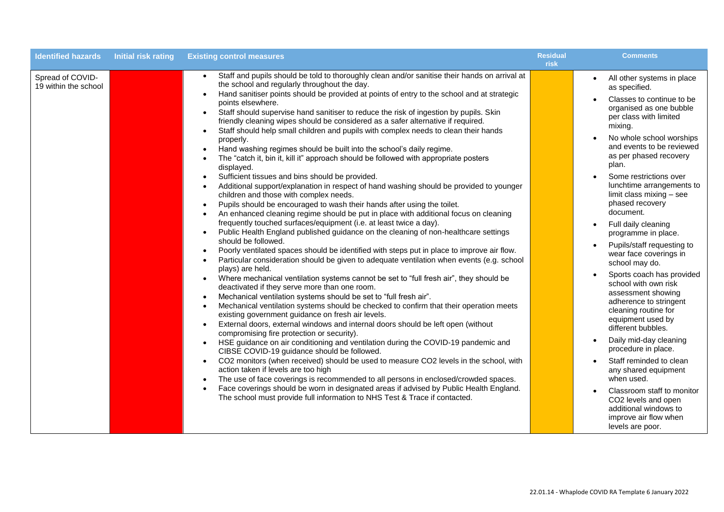| <b>Identified hazards</b>                | <b>Initial risk rating</b> | <b>Existing control measures</b>                                                                                                                                                                                                                                                                                                                                                                                                                                                                                                                                                                                                                                                                                                                                                                                                                                                                                                                                                                                                                                                                                                                                                                                                                                                                                                                                                                                                                                                                                                                                                                                                                                                                                                                                                                                                                                                                                                                                                                                                                                                                                                                                                                                                                                                                                                                                                                                                                                                                                                                                                                                | <b>Residual</b><br>risk | <b>Comments</b>                                                                                                                                                                                                                                                                                                                                                                                                                                                                                                                                                                                                                                                                                                                                                                                                                                                                                      |
|------------------------------------------|----------------------------|-----------------------------------------------------------------------------------------------------------------------------------------------------------------------------------------------------------------------------------------------------------------------------------------------------------------------------------------------------------------------------------------------------------------------------------------------------------------------------------------------------------------------------------------------------------------------------------------------------------------------------------------------------------------------------------------------------------------------------------------------------------------------------------------------------------------------------------------------------------------------------------------------------------------------------------------------------------------------------------------------------------------------------------------------------------------------------------------------------------------------------------------------------------------------------------------------------------------------------------------------------------------------------------------------------------------------------------------------------------------------------------------------------------------------------------------------------------------------------------------------------------------------------------------------------------------------------------------------------------------------------------------------------------------------------------------------------------------------------------------------------------------------------------------------------------------------------------------------------------------------------------------------------------------------------------------------------------------------------------------------------------------------------------------------------------------------------------------------------------------------------------------------------------------------------------------------------------------------------------------------------------------------------------------------------------------------------------------------------------------------------------------------------------------------------------------------------------------------------------------------------------------------------------------------------------------------------------------------------------------|-------------------------|------------------------------------------------------------------------------------------------------------------------------------------------------------------------------------------------------------------------------------------------------------------------------------------------------------------------------------------------------------------------------------------------------------------------------------------------------------------------------------------------------------------------------------------------------------------------------------------------------------------------------------------------------------------------------------------------------------------------------------------------------------------------------------------------------------------------------------------------------------------------------------------------------|
| Spread of COVID-<br>19 within the school |                            | Staff and pupils should be told to thoroughly clean and/or sanitise their hands on arrival at<br>the school and regularly throughout the day.<br>Hand sanitiser points should be provided at points of entry to the school and at strategic<br>$\bullet$<br>points elsewhere.<br>Staff should supervise hand sanitiser to reduce the risk of ingestion by pupils. Skin<br>friendly cleaning wipes should be considered as a safer alternative if required.<br>Staff should help small children and pupils with complex needs to clean their hands<br>$\bullet$<br>properly.<br>Hand washing regimes should be built into the school's daily regime.<br>The "catch it, bin it, kill it" approach should be followed with appropriate posters<br>displayed.<br>Sufficient tissues and bins should be provided.<br>$\bullet$<br>Additional support/explanation in respect of hand washing should be provided to younger<br>children and those with complex needs.<br>Pupils should be encouraged to wash their hands after using the toilet.<br>An enhanced cleaning regime should be put in place with additional focus on cleaning<br>frequently touched surfaces/equipment (i.e. at least twice a day).<br>Public Health England published guidance on the cleaning of non-healthcare settings<br>should be followed.<br>Poorly ventilated spaces should be identified with steps put in place to improve air flow.<br>Particular consideration should be given to adequate ventilation when events (e.g. school<br>plays) are held.<br>Where mechanical ventilation systems cannot be set to "full fresh air", they should be<br>$\bullet$<br>deactivated if they serve more than one room.<br>Mechanical ventilation systems should be set to "full fresh air".<br>Mechanical ventilation systems should be checked to confirm that their operation meets<br>existing government guidance on fresh air levels.<br>External doors, external windows and internal doors should be left open (without<br>compromising fire protection or security).<br>HSE guidance on air conditioning and ventilation during the COVID-19 pandemic and<br>$\bullet$<br>CIBSE COVID-19 guidance should be followed.<br>CO2 monitors (when received) should be used to measure CO2 levels in the school, with<br>$\bullet$<br>action taken if levels are too high<br>The use of face coverings is recommended to all persons in enclosed/crowded spaces.<br>Face coverings should be worn in designated areas if advised by Public Health England.<br>The school must provide full information to NHS Test & Trace if contacted. |                         | All other systems in place<br>as specified.<br>Classes to continue to be<br>organised as one bubble<br>per class with limited<br>mixing.<br>No whole school worships<br>and events to be reviewed<br>as per phased recovery<br>plan.<br>Some restrictions over<br>lunchtime arrangements to<br>limit class mixing - see<br>phased recovery<br>document.<br>Full daily cleaning<br>programme in place.<br>Pupils/staff requesting to<br>wear face coverings in<br>school may do.<br>Sports coach has provided<br>school with own risk<br>assessment showing<br>adherence to stringent<br>cleaning routine for<br>equipment used by<br>different bubbles.<br>Daily mid-day cleaning<br>procedure in place.<br>Staff reminded to clean<br>any shared equipment<br>when used.<br>Classroom staff to monitor<br>CO2 levels and open<br>additional windows to<br>improve air flow when<br>levels are poor. |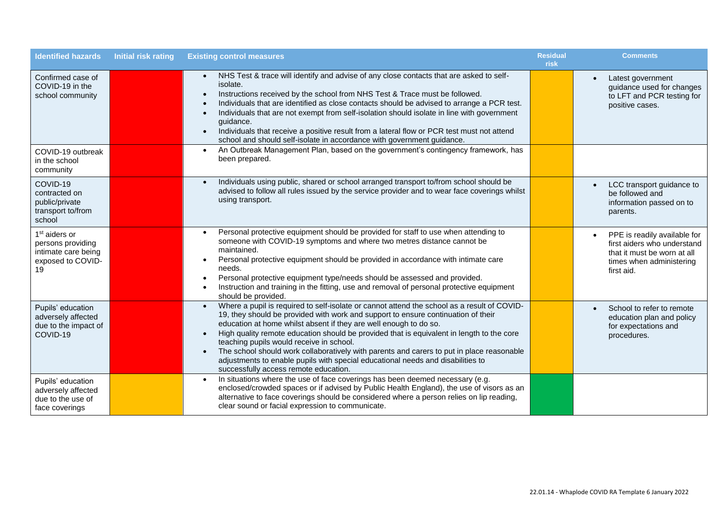| <b>Identified hazards</b>                                                                        | <b>Initial risk rating</b> | <b>Existing control measures</b>                                                                                                                                                                                                                                                                                                                                                                                                                                                                                                                                                                                                                               | <b>Residual</b><br>risk | <b>Comments</b>                                                                                                                      |
|--------------------------------------------------------------------------------------------------|----------------------------|----------------------------------------------------------------------------------------------------------------------------------------------------------------------------------------------------------------------------------------------------------------------------------------------------------------------------------------------------------------------------------------------------------------------------------------------------------------------------------------------------------------------------------------------------------------------------------------------------------------------------------------------------------------|-------------------------|--------------------------------------------------------------------------------------------------------------------------------------|
| Confirmed case of<br>COVID-19 in the<br>school community                                         |                            | NHS Test & trace will identify and advise of any close contacts that are asked to self-<br>isolate.<br>Instructions received by the school from NHS Test & Trace must be followed.<br>$\bullet$<br>Individuals that are identified as close contacts should be advised to arrange a PCR test.<br>Individuals that are not exempt from self-isolation should isolate in line with government<br>$\bullet$<br>guidance.<br>Individuals that receive a positive result from a lateral flow or PCR test must not attend<br>$\bullet$<br>school and should self-isolate in accordance with government guidance.                                                     |                         | Latest government<br>$\bullet$<br>guidance used for changes<br>to LFT and PCR testing for<br>positive cases.                         |
| COVID-19 outbreak<br>in the school<br>community                                                  |                            | An Outbreak Management Plan, based on the government's contingency framework, has<br>$\bullet$<br>been prepared.                                                                                                                                                                                                                                                                                                                                                                                                                                                                                                                                               |                         |                                                                                                                                      |
| COVID-19<br>contracted on<br>public/private<br>transport to/from<br>school                       |                            | Individuals using public, shared or school arranged transport to/from school should be<br>$\bullet$<br>advised to follow all rules issued by the service provider and to wear face coverings whilst<br>using transport.                                                                                                                                                                                                                                                                                                                                                                                                                                        |                         | LCC transport guidance to<br>$\bullet$<br>be followed and<br>information passed on to<br>parents.                                    |
| 1 <sup>st</sup> aiders or<br>persons providing<br>intimate care being<br>exposed to COVID-<br>19 |                            | Personal protective equipment should be provided for staff to use when attending to<br>$\bullet$<br>someone with COVID-19 symptoms and where two metres distance cannot be<br>maintained.<br>Personal protective equipment should be provided in accordance with intimate care<br>needs.<br>Personal protective equipment type/needs should be assessed and provided.<br>$\bullet$<br>Instruction and training in the fitting, use and removal of personal protective equipment<br>$\bullet$<br>should be provided.                                                                                                                                            |                         | PPE is readily available for<br>first aiders who understand<br>that it must be worn at all<br>times when administering<br>first aid. |
| Pupils' education<br>adversely affected<br>due to the impact of<br>COVID-19                      |                            | Where a pupil is required to self-isolate or cannot attend the school as a result of COVID-<br>$\bullet$<br>19, they should be provided with work and support to ensure continuation of their<br>education at home whilst absent if they are well enough to do so.<br>High quality remote education should be provided that is equivalent in length to the core<br>$\bullet$<br>teaching pupils would receive in school.<br>The school should work collaboratively with parents and carers to put in place reasonable<br>$\bullet$<br>adjustments to enable pupils with special educational needs and disabilities to<br>successfully access remote education. |                         | School to refer to remote<br>education plan and policy<br>for expectations and<br>procedures.                                        |
| Pupils' education<br>adversely affected<br>due to the use of<br>face coverings                   |                            | In situations where the use of face coverings has been deemed necessary (e.g.<br>$\bullet$<br>enclosed/crowded spaces or if advised by Public Health England), the use of visors as an<br>alternative to face coverings should be considered where a person relies on lip reading,<br>clear sound or facial expression to communicate.                                                                                                                                                                                                                                                                                                                         |                         |                                                                                                                                      |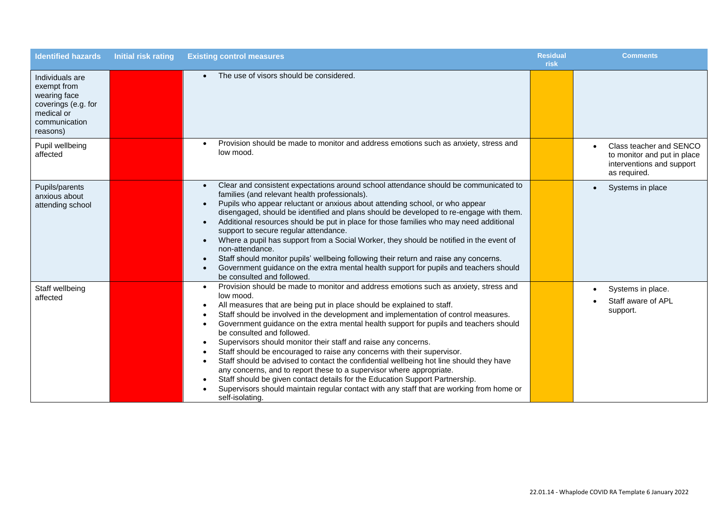| <b>Identified hazards</b>                                                                                        | <b>Initial risk rating</b> | <b>Existing control measures</b>                                                                                                                                                                                                                                                                                                                                                                                                                                                                                                                                                                                                                                                                                                                                                                                                                                                                                                                | <b>Residual</b><br>risk | <b>Comments</b>                                                                                     |
|------------------------------------------------------------------------------------------------------------------|----------------------------|-------------------------------------------------------------------------------------------------------------------------------------------------------------------------------------------------------------------------------------------------------------------------------------------------------------------------------------------------------------------------------------------------------------------------------------------------------------------------------------------------------------------------------------------------------------------------------------------------------------------------------------------------------------------------------------------------------------------------------------------------------------------------------------------------------------------------------------------------------------------------------------------------------------------------------------------------|-------------------------|-----------------------------------------------------------------------------------------------------|
| Individuals are<br>exempt from<br>wearing face<br>coverings (e.g. for<br>medical or<br>communication<br>reasons) |                            | The use of visors should be considered.                                                                                                                                                                                                                                                                                                                                                                                                                                                                                                                                                                                                                                                                                                                                                                                                                                                                                                         |                         |                                                                                                     |
| Pupil wellbeing<br>affected                                                                                      |                            | Provision should be made to monitor and address emotions such as anxiety, stress and<br>low mood.                                                                                                                                                                                                                                                                                                                                                                                                                                                                                                                                                                                                                                                                                                                                                                                                                                               |                         | Class teacher and SENCO<br>to monitor and put in place<br>interventions and support<br>as required. |
| Pupils/parents<br>anxious about<br>attending school                                                              |                            | Clear and consistent expectations around school attendance should be communicated to<br>$\bullet$<br>families (and relevant health professionals).<br>Pupils who appear reluctant or anxious about attending school, or who appear<br>disengaged, should be identified and plans should be developed to re-engage with them.<br>Additional resources should be put in place for those families who may need additional<br>support to secure regular attendance.<br>Where a pupil has support from a Social Worker, they should be notified in the event of<br>non-attendance.<br>Staff should monitor pupils' wellbeing following their return and raise any concerns.<br>Government guidance on the extra mental health support for pupils and teachers should<br>be consulted and followed.                                                                                                                                                   |                         | Systems in place<br>$\bullet$                                                                       |
| Staff wellbeing<br>affected                                                                                      |                            | Provision should be made to monitor and address emotions such as anxiety, stress and<br>$\bullet$<br>low mood.<br>All measures that are being put in place should be explained to staff.<br>Staff should be involved in the development and implementation of control measures.<br>Government guidance on the extra mental health support for pupils and teachers should<br>$\bullet$<br>be consulted and followed.<br>Supervisors should monitor their staff and raise any concerns.<br>$\bullet$<br>Staff should be encouraged to raise any concerns with their supervisor.<br>Staff should be advised to contact the confidential wellbeing hot line should they have<br>any concerns, and to report these to a supervisor where appropriate.<br>Staff should be given contact details for the Education Support Partnership.<br>Supervisors should maintain regular contact with any staff that are working from home or<br>self-isolating. |                         | Systems in place.<br>Staff aware of APL<br>support.                                                 |